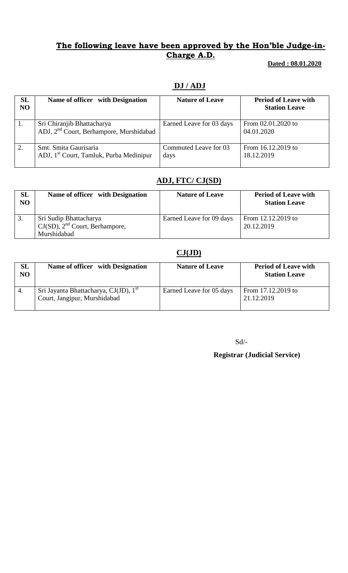### **The following leave have been approved by the Hon'ble Judge-in-Charge A.D.**

 **Dated : 08.01.2020**

### **DJ / ADJ**

| SL<br>NO | Name of officer with Designation                                                  | <b>Nature of Leave</b>        | <b>Period of Leave with</b><br><b>Station Leave</b> |
|----------|-----------------------------------------------------------------------------------|-------------------------------|-----------------------------------------------------|
| 1.       | Sri Chiranjib Bhattacharya<br>ADJ, 2 <sup>nd</sup> Court, Berhampore, Murshidabad | Earned Leave for 03 days      | From 02.01.2020 to<br>04.01.2020                    |
| 2.       | Smt. Smita Gaurisaria<br>ADJ, 1 <sup>st</sup> Court, Tamluk, Purba Medinipur      | Commuted Leave for 03<br>days | From 16.12.2019 to<br>18.12.2019                    |

# **ADJ, FTC/ CJ(SD)**

| SL<br>NO | Name of officer with Designation                                             | <b>Nature of Leave</b>   | <b>Period of Leave with</b><br><b>Station Leave</b> |
|----------|------------------------------------------------------------------------------|--------------------------|-----------------------------------------------------|
|          | Sri Sudip Bhattacharya<br>$CJ(SD)$ , $2nd$ Court, Berhampore,<br>Murshidabad | Earned Leave for 09 days | From 12.12.2019 to<br>20.12.2019                    |

#### **CJ(JD)**

| SL<br>NO | Name of officer with Designation                                                  | <b>Nature of Leave</b>   | <b>Period of Leave with</b><br><b>Station Leave</b> |
|----------|-----------------------------------------------------------------------------------|--------------------------|-----------------------------------------------------|
| 4.       | Sri Jayanta Bhattacharya, CJ(JD), 1 <sup>st</sup><br>Court, Jangipur, Murshidabad | Earned Leave for 05 days | From 17.12.2019 to<br>21.12.2019                    |

Sd/-

#### **Registrar (Judicial Service)**